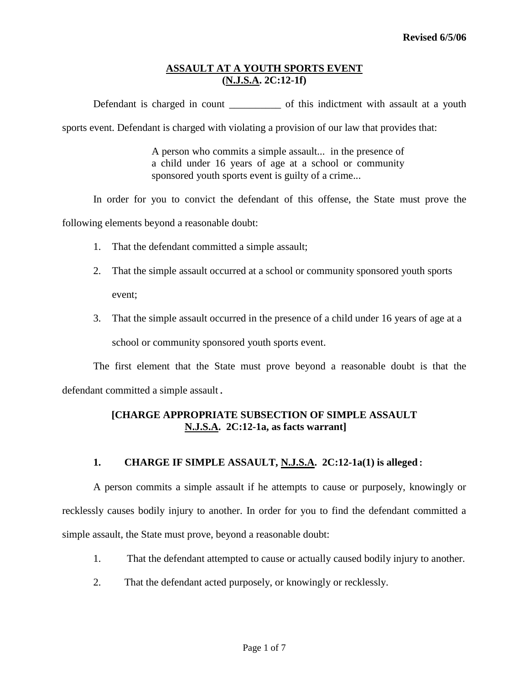Defendant is charged in count \_\_\_\_\_\_\_\_\_\_\_\_ of this indictment with assault at a youth

sports event. Defendant is charged with violating a provision of our law that provides that:

A person who commits a simple assault... in the presence of a child under 16 years of age at a school or community sponsored youth sports event is guilty of a crime...

In order for you to convict the defendant of this offense, the State must prove the

following elements beyond a reasonable doubt:

- 1. That the defendant committed a simple assault;
- 2. That the simple assault occurred at a school or community sponsored youth sports event;
- 3. That the simple assault occurred in the presence of a child under 16 years of age at a school or community sponsored youth sports event.

The first element that the State must prove beyond a reasonable doubt is that the defendant committed a simple assault.

# **[CHARGE APPROPRIATE SUBSECTION OF SIMPLE ASSAULT N.J.S.A. 2C:12-1a, as facts warrant]**

## **1. CHARGE IF SIMPLE ASSAULT, N.J.S.A. 2C:12-1a(1) is alleged:**

A person commits a simple assault if he attempts to cause or purposely, knowingly or recklessly causes bodily injury to another. In order for you to find the defendant committed a simple assault, the State must prove, beyond a reasonable doubt:

- 1. That the defendant attempted to cause or actually caused bodily injury to another.
- 2. That the defendant acted purposely, or knowingly or recklessly.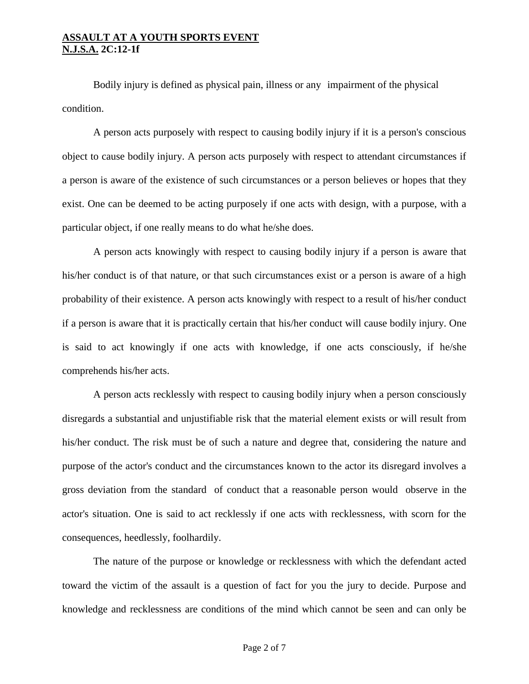Bodily injury is defined as physical pain, illness or any impairment of the physical condition.

A person acts purposely with respect to causing bodily injury if it is a person's conscious object to cause bodily injury. A person acts purposely with respect to attendant circumstances if a person is aware of the existence of such circumstances or a person believes or hopes that they exist. One can be deemed to be acting purposely if one acts with design, with a purpose, with a particular object, if one really means to do what he/she does.

A person acts knowingly with respect to causing bodily injury if a person is aware that his/her conduct is of that nature, or that such circumstances exist or a person is aware of a high probability of their existence. A person acts knowingly with respect to a result of his/her conduct if a person is aware that it is practically certain that his/her conduct will cause bodily injury. One is said to act knowingly if one acts with knowledge, if one acts consciously, if he/she comprehends his/her acts.

A person acts recklessly with respect to causing bodily injury when a person consciously disregards a substantial and unjustifiable risk that the material element exists or will result from his/her conduct. The risk must be of such a nature and degree that, considering the nature and purpose of the actor's conduct and the circumstances known to the actor its disregard involves a gross deviation from the standard of conduct that a reasonable person would observe in the actor's situation. One is said to act recklessly if one acts with recklessness, with scorn for the consequences, heedlessly, foolhardily.

The nature of the purpose or knowledge or recklessness with which the defendant acted toward the victim of the assault is a question of fact for you the jury to decide. Purpose and knowledge and recklessness are conditions of the mind which cannot be seen and can only be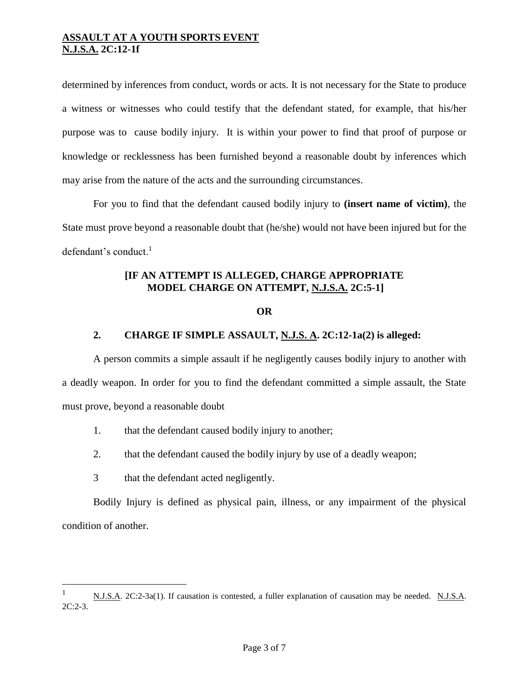determined by inferences from conduct, words or acts. It is not necessary for the State to produce a witness or witnesses who could testify that the defendant stated, for example, that his/her purpose was to cause bodily injury. It is within your power to find that proof of purpose or knowledge or recklessness has been furnished beyond a reasonable doubt by inferences which may arise from the nature of the acts and the surrounding circumstances.

For you to find that the defendant caused bodily injury to **(insert name of victim)**, the State must prove beyond a reasonable doubt that (he/she) would not have been injured but for the defendant's conduct. $<sup>1</sup>$ </sup>

# **[IF AN ATTEMPT IS ALLEGED, CHARGE APPROPRIATE MODEL CHARGE ON ATTEMPT, N.J.S.A. 2C:5-1]**

#### **OR**

# **2. CHARGE IF SIMPLE ASSAULT, N.J.S. A. 2C:12-1a(2) is alleged:**

A person commits a simple assault if he negligently causes bodily injury to another with a deadly weapon. In order for you to find the defendant committed a simple assault, the State must prove, beyond a reasonable doubt

- 1. that the defendant caused bodily injury to another;
- 2. that the defendant caused the bodily injury by use of a deadly weapon;
- 3 that the defendant acted negligently.

L,

Bodily Injury is defined as physical pain, illness, or any impairment of the physical condition of another.

<sup>1</sup> N.J.S.A. 2C:2-3a(1). If causation is contested, a fuller explanation of causation may be needed. N.J.S.A.  $2C:2-3.$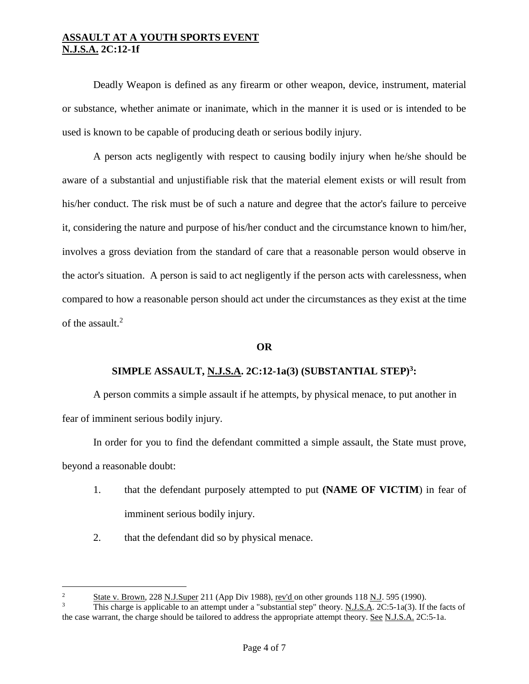Deadly Weapon is defined as any firearm or other weapon, device, instrument, material or substance, whether animate or inanimate, which in the manner it is used or is intended to be used is known to be capable of producing death or serious bodily injury.

A person acts negligently with respect to causing bodily injury when he/she should be aware of a substantial and unjustifiable risk that the material element exists or will result from his/her conduct. The risk must be of such a nature and degree that the actor's failure to perceive it, considering the nature and purpose of his/her conduct and the circumstance known to him/her, involves a gross deviation from the standard of care that a reasonable person would observe in the actor's situation. A person is said to act negligently if the person acts with carelessness, when compared to how a reasonable person should act under the circumstances as they exist at the time of the assault. 2

## **OR**

## **SIMPLE ASSAULT, N.J.S.A. 2C:12-1a(3) (SUBSTANTIAL STEP)<sup>3</sup> :**

A person commits a simple assault if he attempts, by physical menace, to put another in fear of imminent serious bodily injury.

In order for you to find the defendant committed a simple assault, the State must prove, beyond a reasonable doubt:

- 1. that the defendant purposely attempted to put **(NAME OF VICTIM**) in fear of imminent serious bodily injury.
- 2. that the defendant did so by physical menace.

a<br>B

<sup>&</sup>lt;sup>2</sup> State v. Brown, 228 N.J.Super 211 (App Div 1988), rev'd on other grounds 118 N.J. 595 (1990).

This charge is applicable to an attempt under a "substantial step" theory. N.J.S.A. 2C:5-1a(3). If the facts of the case warrant, the charge should be tailored to address the appropriate attempt theory. See N.J.S.A. 2C:5-1a.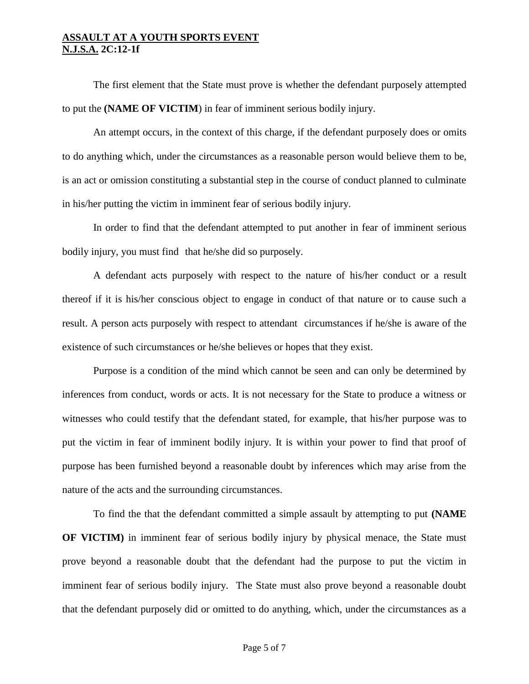The first element that the State must prove is whether the defendant purposely attempted to put the **(NAME OF VICTIM**) in fear of imminent serious bodily injury.

An attempt occurs, in the context of this charge, if the defendant purposely does or omits to do anything which, under the circumstances as a reasonable person would believe them to be, is an act or omission constituting a substantial step in the course of conduct planned to culminate in his/her putting the victim in imminent fear of serious bodily injury.

In order to find that the defendant attempted to put another in fear of imminent serious bodily injury, you must find that he/she did so purposely.

A defendant acts purposely with respect to the nature of his/her conduct or a result thereof if it is his/her conscious object to engage in conduct of that nature or to cause such a result. A person acts purposely with respect to attendant circumstances if he/she is aware of the existence of such circumstances or he/she believes or hopes that they exist.

Purpose is a condition of the mind which cannot be seen and can only be determined by inferences from conduct, words or acts. It is not necessary for the State to produce a witness or witnesses who could testify that the defendant stated, for example, that his/her purpose was to put the victim in fear of imminent bodily injury. It is within your power to find that proof of purpose has been furnished beyond a reasonable doubt by inferences which may arise from the nature of the acts and the surrounding circumstances.

To find the that the defendant committed a simple assault by attempting to put **(NAME OF VICTIM)** in imminent fear of serious bodily injury by physical menace, the State must prove beyond a reasonable doubt that the defendant had the purpose to put the victim in imminent fear of serious bodily injury. The State must also prove beyond a reasonable doubt that the defendant purposely did or omitted to do anything, which, under the circumstances as a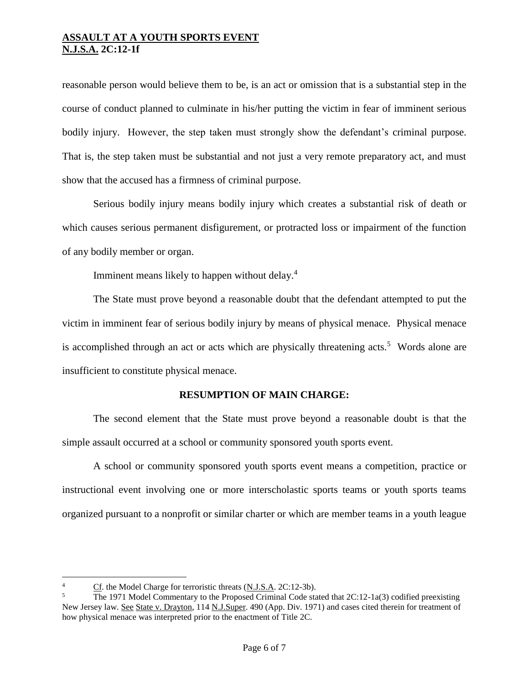reasonable person would believe them to be, is an act or omission that is a substantial step in the course of conduct planned to culminate in his/her putting the victim in fear of imminent serious bodily injury. However, the step taken must strongly show the defendant's criminal purpose. That is, the step taken must be substantial and not just a very remote preparatory act, and must show that the accused has a firmness of criminal purpose.

Serious bodily injury means bodily injury which creates a substantial risk of death or which causes serious permanent disfigurement, or protracted loss or impairment of the function of any bodily member or organ.

Imminent means likely to happen without delay.<sup>4</sup>

The State must prove beyond a reasonable doubt that the defendant attempted to put the victim in imminent fear of serious bodily injury by means of physical menace. Physical menace is accomplished through an act or acts which are physically threatening acts.<sup>5</sup> Words alone are insufficient to constitute physical menace.

## **RESUMPTION OF MAIN CHARGE:**

The second element that the State must prove beyond a reasonable doubt is that the simple assault occurred at a school or community sponsored youth sports event.

A school or community sponsored youth sports event means a competition, practice or instructional event involving one or more interscholastic sports teams or youth sports teams organized pursuant to a nonprofit or similar charter or which are member teams in a youth league

a<br>B

<sup>&</sup>lt;sup>4</sup> Cf. the Model Charge for terroristic threats (N.J.S.A. 2C:12-3b).

The 1971 Model Commentary to the Proposed Criminal Code stated that  $2C:12-1a(3)$  codified preexisting New Jersey law. See State v. Drayton, 114 N.J.Super. 490 (App. Div. 1971) and cases cited therein for treatment of how physical menace was interpreted prior to the enactment of Title 2C.